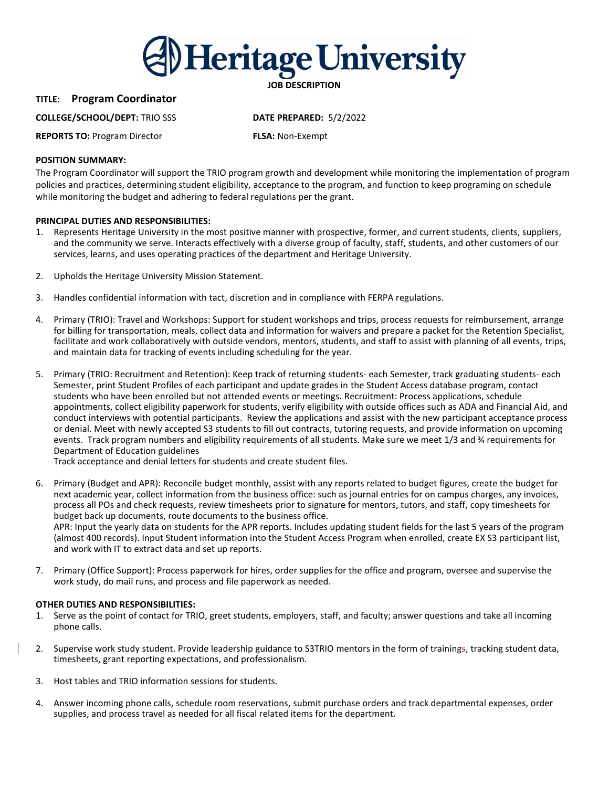

# **TITLE: Program Coordinator**

## **COLLEGE/SCHOOL/DEPT:** TRIO SSS **DATE PREPARED:** 5/2/2022

**REPORTS TO:** Program Director **FLSA:** Non-Exempt

## **POSITION SUMMARY:**

The Program Coordinator will support the TRIO program growth and development while monitoring the implementation of program policies and practices, determining student eligibility, acceptance to the program, and function to keep programing on schedule while monitoring the budget and adhering to federal regulations per the grant.

## **PRINCIPAL DUTIES AND RESPONSIBILITIES:**

- 1. Represents Heritage University in the most positive manner with prospective, former, and current students, clients, suppliers, and the community we serve. Interacts effectively with a diverse group of faculty, staff, students, and other customers of our services, learns, and uses operating practices of the department and Heritage University.
- 2. Upholds the Heritage University Mission Statement.
- 3. Handles confidential information with tact, discretion and in compliance with FERPA regulations.
- 4. Primary (TRIO): Travel and Workshops: Support for student workshops and trips, process requests for reimbursement, arrange for billing for transportation, meals, collect data and information for waivers and prepare a packet for the Retention Specialist, facilitate and work collaboratively with outside vendors, mentors, students, and staff to assist with planning of all events, trips, and maintain data for tracking of events including scheduling for the year.
- 5. Primary (TRIO: Recruitment and Retention): Keep track of returning students- each Semester, track graduating students- each Semester, print Student Profiles of each participant and update grades in the Student Access database program, contact students who have been enrolled but not attended events or meetings. Recruitment: Process applications, schedule appointments, collect eligibility paperwork for students, verify eligibility with outside offices such as ADA and Financial Aid, and conduct interviews with potential participants. Review the applications and assist with the new participant acceptance process or denial. Meet with newly accepted S3 students to fill out contracts, tutoring requests, and provide information on upcoming events. Track program numbers and eligibility requirements of all students. Make sure we meet 1/3 and ¾ requirements for Department of Education guidelines

Track acceptance and denial letters for students and create student files.

6. Primary (Budget and APR): Reconcile budget monthly, assist with any reports related to budget figures, create the budget for next academic year, collect information from the business office: such as journal entries for on campus charges, any invoices, process all POs and check requests, review timesheets prior to signature for mentors, tutors, and staff, copy timesheets for budget back up documents, route documents to the business office. APR: Input the yearly data on students for the APR reports. Includes updating student fields for the last 5 years of the program

(almost 400 records). Input Student information into the Student Access Program when enrolled, create EX S3 participant list, and work with IT to extract data and set up reports.

7. Primary (Office Support): Process paperwork for hires, order supplies for the office and program, oversee and supervise the work study, do mail runs, and process and file paperwork as needed.

## **OTHER DUTIES AND RESPONSIBILITIES:**

- 1. Serve as the point of contact for TRIO, greet students, employers, staff, and faculty; answer questions and take all incoming phone calls.
- 2. Supervise work study student. Provide leadership guidance to S3TRIO mentors in the form of trainings, tracking student data, timesheets, grant reporting expectations, and professionalism.
- 3. Host tables and TRIO information sessions for students.
- 4. Answer incoming phone calls, schedule room reservations, submit purchase orders and track departmental expenses, order supplies, and process travel as needed for all fiscal related items for the department.